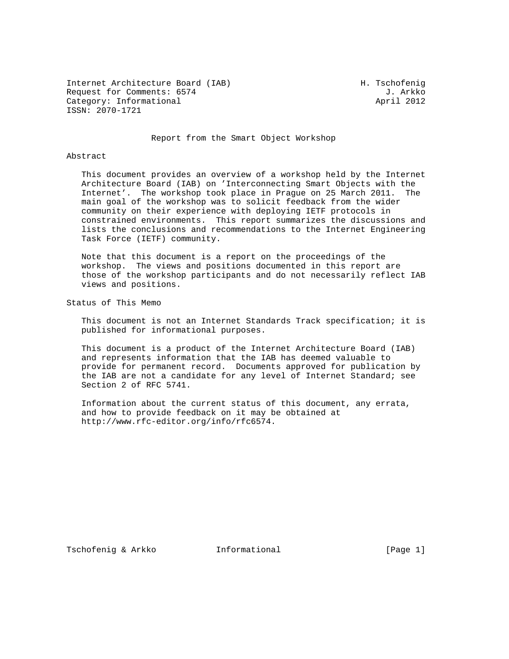Internet Architecture Board (IAB) M. Tschofenig Request for Comments: 6574 J. Arkko<br>Category: Informational and South April 2012 Category: Informational ISSN: 2070-1721

Report from the Smart Object Workshop

## Abstract

 This document provides an overview of a workshop held by the Internet Architecture Board (IAB) on 'Interconnecting Smart Objects with the Internet'. The workshop took place in Prague on 25 March 2011. The main goal of the workshop was to solicit feedback from the wider community on their experience with deploying IETF protocols in constrained environments. This report summarizes the discussions and lists the conclusions and recommendations to the Internet Engineering Task Force (IETF) community.

 Note that this document is a report on the proceedings of the workshop. The views and positions documented in this report are those of the workshop participants and do not necessarily reflect IAB views and positions.

Status of This Memo

 This document is not an Internet Standards Track specification; it is published for informational purposes.

 This document is a product of the Internet Architecture Board (IAB) and represents information that the IAB has deemed valuable to provide for permanent record. Documents approved for publication by the IAB are not a candidate for any level of Internet Standard; see Section 2 of RFC 5741.

 Information about the current status of this document, any errata, and how to provide feedback on it may be obtained at http://www.rfc-editor.org/info/rfc6574.

Tschofenig & Arkko Informational [Page 1]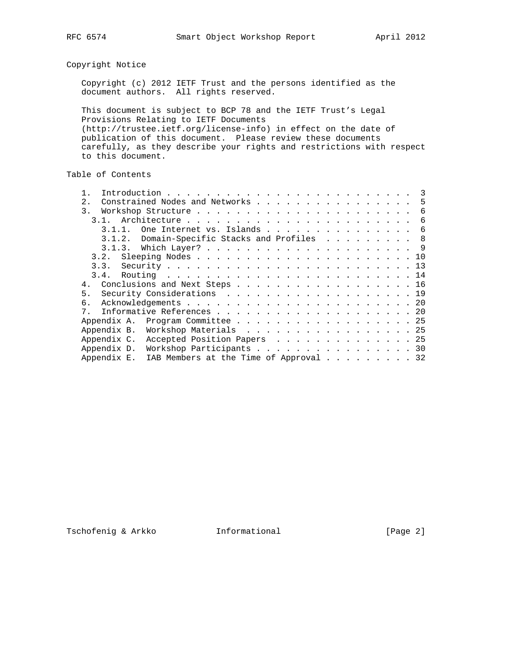Copyright Notice

 Copyright (c) 2012 IETF Trust and the persons identified as the document authors. All rights reserved.

 This document is subject to BCP 78 and the IETF Trust's Legal Provisions Relating to IETF Documents (http://trustee.ietf.org/license-info) in effect on the date of publication of this document. Please review these documents carefully, as they describe your rights and restrictions with respect to this document.

Table of Contents

| 2.<br>Constrained Nodes and Networks                  | 5 |
|-------------------------------------------------------|---|
| 3.                                                    | 6 |
|                                                       | 6 |
| One Internet vs. Islands                              | 6 |
| Domain-Specific Stacks and Profiles 8<br>3.1.2.       |   |
|                                                       |   |
| 3.2.                                                  |   |
| 3.3.                                                  |   |
|                                                       |   |
| Conclusions and Next Steps 16<br>$4$ .                |   |
| Security Considerations 19<br>5.                      |   |
| б.                                                    |   |
| Informative References 20<br>7 <sub>1</sub>           |   |
| Program Committee 25<br>Appendix A.                   |   |
| Appendix B.<br>Workshop Materials 25                  |   |
| Appendix C.<br>Accepted Position Papers 25            |   |
| Appendix D.<br>Workshop Participants 30               |   |
| Appendix E.<br>IAB Members at the Time of Approval 32 |   |
|                                                       |   |

Tschofenig & Arkko Informational [Page 2]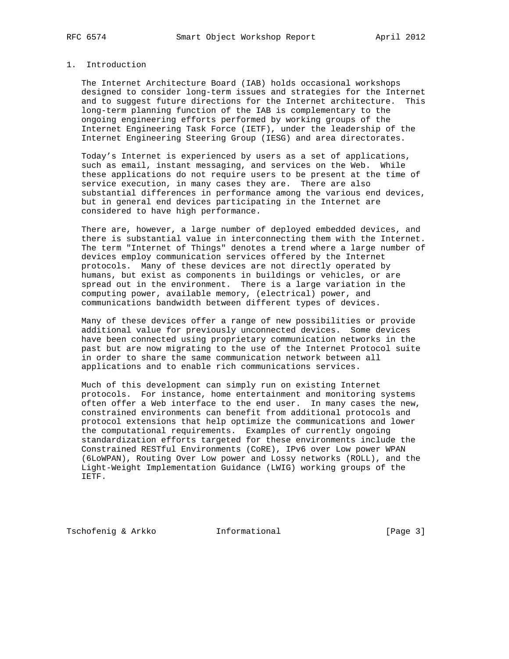# 1. Introduction

 The Internet Architecture Board (IAB) holds occasional workshops designed to consider long-term issues and strategies for the Internet and to suggest future directions for the Internet architecture. This long-term planning function of the IAB is complementary to the ongoing engineering efforts performed by working groups of the Internet Engineering Task Force (IETF), under the leadership of the Internet Engineering Steering Group (IESG) and area directorates.

 Today's Internet is experienced by users as a set of applications, such as email, instant messaging, and services on the Web. While these applications do not require users to be present at the time of service execution, in many cases they are. There are also substantial differences in performance among the various end devices, but in general end devices participating in the Internet are considered to have high performance.

 There are, however, a large number of deployed embedded devices, and there is substantial value in interconnecting them with the Internet. The term "Internet of Things" denotes a trend where a large number of devices employ communication services offered by the Internet protocols. Many of these devices are not directly operated by humans, but exist as components in buildings or vehicles, or are spread out in the environment. There is a large variation in the computing power, available memory, (electrical) power, and communications bandwidth between different types of devices.

 Many of these devices offer a range of new possibilities or provide additional value for previously unconnected devices. Some devices have been connected using proprietary communication networks in the past but are now migrating to the use of the Internet Protocol suite in order to share the same communication network between all applications and to enable rich communications services.

 Much of this development can simply run on existing Internet protocols. For instance, home entertainment and monitoring systems often offer a Web interface to the end user. In many cases the new, constrained environments can benefit from additional protocols and protocol extensions that help optimize the communications and lower the computational requirements. Examples of currently ongoing standardization efforts targeted for these environments include the Constrained RESTful Environments (CoRE), IPv6 over Low power WPAN (6LoWPAN), Routing Over Low power and Lossy networks (ROLL), and the Light-Weight Implementation Guidance (LWIG) working groups of the IETF.

Tschofenig & Arkko Informational [Page 3]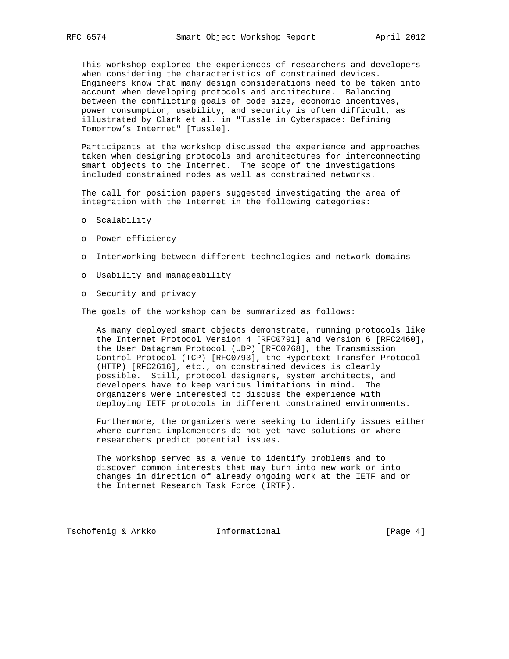This workshop explored the experiences of researchers and developers when considering the characteristics of constrained devices. Engineers know that many design considerations need to be taken into account when developing protocols and architecture. Balancing between the conflicting goals of code size, economic incentives, power consumption, usability, and security is often difficult, as illustrated by Clark et al. in "Tussle in Cyberspace: Defining Tomorrow's Internet" [Tussle].

 Participants at the workshop discussed the experience and approaches taken when designing protocols and architectures for interconnecting smart objects to the Internet. The scope of the investigations included constrained nodes as well as constrained networks.

 The call for position papers suggested investigating the area of integration with the Internet in the following categories:

- o Scalability
- o Power efficiency
- o Interworking between different technologies and network domains
- o Usability and manageability
- o Security and privacy

The goals of the workshop can be summarized as follows:

 As many deployed smart objects demonstrate, running protocols like the Internet Protocol Version 4 [RFC0791] and Version 6 [RFC2460], the User Datagram Protocol (UDP) [RFC0768], the Transmission Control Protocol (TCP) [RFC0793], the Hypertext Transfer Protocol (HTTP) [RFC2616], etc., on constrained devices is clearly possible. Still, protocol designers, system architects, and developers have to keep various limitations in mind. The organizers were interested to discuss the experience with deploying IETF protocols in different constrained environments.

 Furthermore, the organizers were seeking to identify issues either where current implementers do not yet have solutions or where researchers predict potential issues.

 The workshop served as a venue to identify problems and to discover common interests that may turn into new work or into changes in direction of already ongoing work at the IETF and or the Internet Research Task Force (IRTF).

Tschofenig & Arkko Informational [Page 4]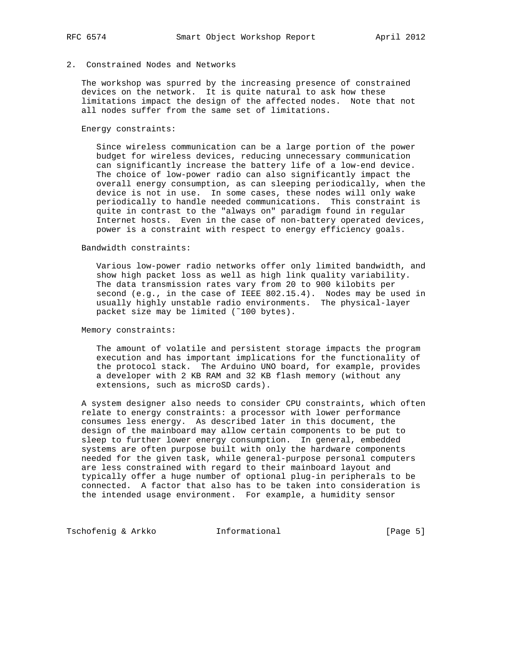# 2. Constrained Nodes and Networks

 The workshop was spurred by the increasing presence of constrained devices on the network. It is quite natural to ask how these limitations impact the design of the affected nodes. Note that not all nodes suffer from the same set of limitations.

#### Energy constraints:

 Since wireless communication can be a large portion of the power budget for wireless devices, reducing unnecessary communication can significantly increase the battery life of a low-end device. The choice of low-power radio can also significantly impact the overall energy consumption, as can sleeping periodically, when the device is not in use. In some cases, these nodes will only wake periodically to handle needed communications. This constraint is quite in contrast to the "always on" paradigm found in regular Internet hosts. Even in the case of non-battery operated devices, power is a constraint with respect to energy efficiency goals.

#### Bandwidth constraints:

 Various low-power radio networks offer only limited bandwidth, and show high packet loss as well as high link quality variability. The data transmission rates vary from 20 to 900 kilobits per second (e.g., in the case of IEEE 802.15.4). Nodes may be used in usually highly unstable radio environments. The physical-layer packet size may be limited (~100 bytes).

Memory constraints:

 The amount of volatile and persistent storage impacts the program execution and has important implications for the functionality of the protocol stack. The Arduino UNO board, for example, provides a developer with 2 KB RAM and 32 KB flash memory (without any extensions, such as microSD cards).

 A system designer also needs to consider CPU constraints, which often relate to energy constraints: a processor with lower performance consumes less energy. As described later in this document, the design of the mainboard may allow certain components to be put to sleep to further lower energy consumption. In general, embedded systems are often purpose built with only the hardware components needed for the given task, while general-purpose personal computers are less constrained with regard to their mainboard layout and typically offer a huge number of optional plug-in peripherals to be connected. A factor that also has to be taken into consideration is the intended usage environment. For example, a humidity sensor

Tschofenig & Arkko **Informational** [Page 5]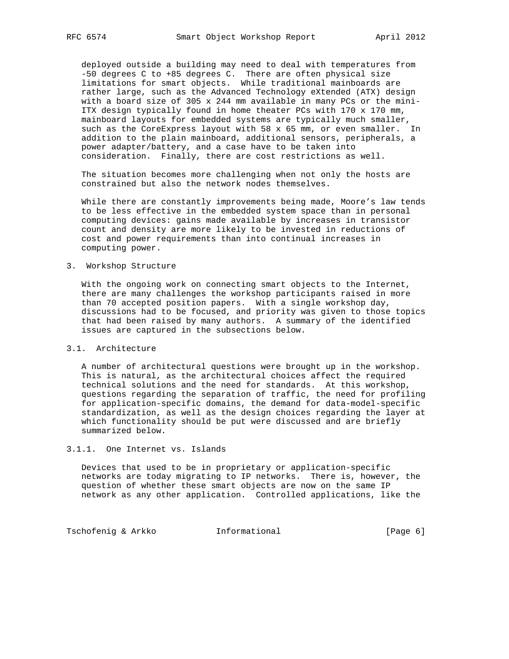deployed outside a building may need to deal with temperatures from -50 degrees C to +85 degrees C. There are often physical size limitations for smart objects. While traditional mainboards are rather large, such as the Advanced Technology eXtended (ATX) design with a board size of 305 x 244 mm available in many PCs or the mini- ITX design typically found in home theater PCs with 170 x 170 mm, mainboard layouts for embedded systems are typically much smaller, such as the CoreExpress layout with 58 x 65 mm, or even smaller. In addition to the plain mainboard, additional sensors, peripherals, a power adapter/battery, and a case have to be taken into consideration. Finally, there are cost restrictions as well.

 The situation becomes more challenging when not only the hosts are constrained but also the network nodes themselves.

 While there are constantly improvements being made, Moore's law tends to be less effective in the embedded system space than in personal computing devices: gains made available by increases in transistor count and density are more likely to be invested in reductions of cost and power requirements than into continual increases in computing power.

# 3. Workshop Structure

 With the ongoing work on connecting smart objects to the Internet, there are many challenges the workshop participants raised in more than 70 accepted position papers. With a single workshop day, discussions had to be focused, and priority was given to those topics that had been raised by many authors. A summary of the identified issues are captured in the subsections below.

# 3.1. Architecture

 A number of architectural questions were brought up in the workshop. This is natural, as the architectural choices affect the required technical solutions and the need for standards. At this workshop, questions regarding the separation of traffic, the need for profiling for application-specific domains, the demand for data-model-specific standardization, as well as the design choices regarding the layer at which functionality should be put were discussed and are briefly summarized below.

# 3.1.1. One Internet vs. Islands

 Devices that used to be in proprietary or application-specific networks are today migrating to IP networks. There is, however, the question of whether these smart objects are now on the same IP network as any other application. Controlled applications, like the

Tschofenig & Arkko **Informational** [Page 6]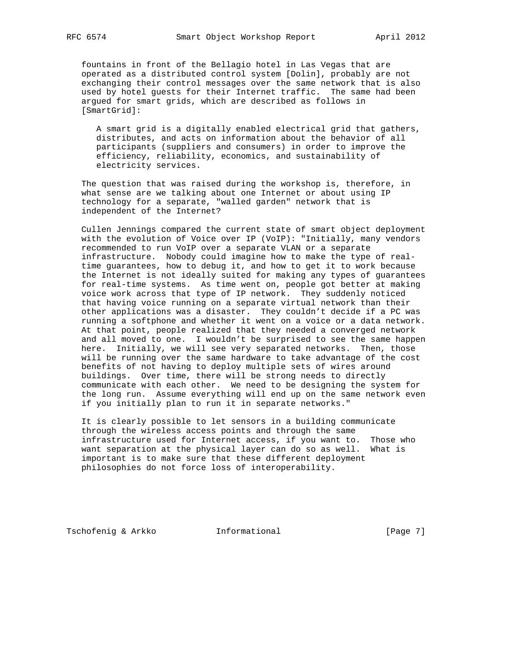fountains in front of the Bellagio hotel in Las Vegas that are operated as a distributed control system [Dolin], probably are not exchanging their control messages over the same network that is also used by hotel guests for their Internet traffic. The same had been argued for smart grids, which are described as follows in [SmartGrid]:

 A smart grid is a digitally enabled electrical grid that gathers, distributes, and acts on information about the behavior of all participants (suppliers and consumers) in order to improve the efficiency, reliability, economics, and sustainability of electricity services.

 The question that was raised during the workshop is, therefore, in what sense are we talking about one Internet or about using IP technology for a separate, "walled garden" network that is independent of the Internet?

 Cullen Jennings compared the current state of smart object deployment with the evolution of Voice over IP (VoIP): "Initially, many vendors recommended to run VoIP over a separate VLAN or a separate infrastructure. Nobody could imagine how to make the type of real time guarantees, how to debug it, and how to get it to work because the Internet is not ideally suited for making any types of guarantees for real-time systems. As time went on, people got better at making voice work across that type of IP network. They suddenly noticed that having voice running on a separate virtual network than their other applications was a disaster. They couldn't decide if a PC was running a softphone and whether it went on a voice or a data network. At that point, people realized that they needed a converged network and all moved to one. I wouldn't be surprised to see the same happen here. Initially, we will see very separated networks. Then, those will be running over the same hardware to take advantage of the cost benefits of not having to deploy multiple sets of wires around buildings. Over time, there will be strong needs to directly communicate with each other. We need to be designing the system for the long run. Assume everything will end up on the same network even if you initially plan to run it in separate networks."

 It is clearly possible to let sensors in a building communicate through the wireless access points and through the same infrastructure used for Internet access, if you want to. Those who want separation at the physical layer can do so as well. What is important is to make sure that these different deployment philosophies do not force loss of interoperability.

Tschofenig & Arkko Informational [Page 7]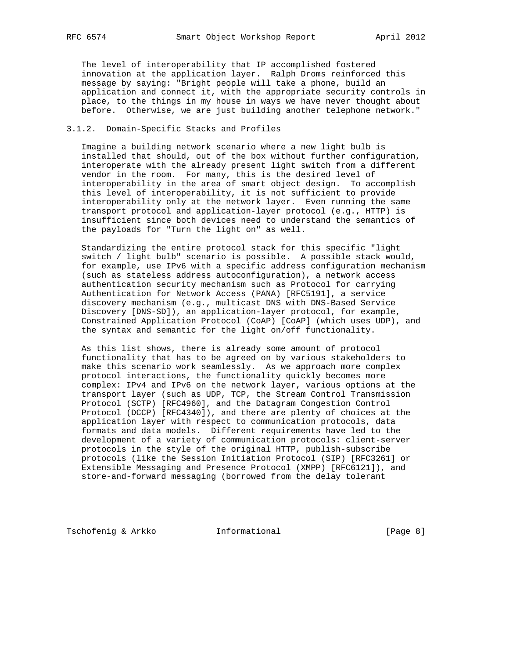The level of interoperability that IP accomplished fostered innovation at the application layer. Ralph Droms reinforced this message by saying: "Bright people will take a phone, build an application and connect it, with the appropriate security controls in place, to the things in my house in ways we have never thought about before. Otherwise, we are just building another telephone network."

# 3.1.2. Domain-Specific Stacks and Profiles

 Imagine a building network scenario where a new light bulb is installed that should, out of the box without further configuration, interoperate with the already present light switch from a different vendor in the room. For many, this is the desired level of interoperability in the area of smart object design. To accomplish this level of interoperability, it is not sufficient to provide interoperability only at the network layer. Even running the same transport protocol and application-layer protocol (e.g., HTTP) is insufficient since both devices need to understand the semantics of the payloads for "Turn the light on" as well.

 Standardizing the entire protocol stack for this specific "light switch / light bulb" scenario is possible. A possible stack would, for example, use IPv6 with a specific address configuration mechanism (such as stateless address autoconfiguration), a network access authentication security mechanism such as Protocol for carrying Authentication for Network Access (PANA) [RFC5191], a service discovery mechanism (e.g., multicast DNS with DNS-Based Service Discovery [DNS-SD]), an application-layer protocol, for example, Constrained Application Protocol (CoAP) [CoAP] (which uses UDP), and the syntax and semantic for the light on/off functionality.

 As this list shows, there is already some amount of protocol functionality that has to be agreed on by various stakeholders to make this scenario work seamlessly. As we approach more complex protocol interactions, the functionality quickly becomes more complex: IPv4 and IPv6 on the network layer, various options at the transport layer (such as UDP, TCP, the Stream Control Transmission Protocol (SCTP) [RFC4960], and the Datagram Congestion Control Protocol (DCCP) [RFC4340]), and there are plenty of choices at the application layer with respect to communication protocols, data formats and data models. Different requirements have led to the development of a variety of communication protocols: client-server protocols in the style of the original HTTP, publish-subscribe protocols (like the Session Initiation Protocol (SIP) [RFC3261] or Extensible Messaging and Presence Protocol (XMPP) [RFC6121]), and store-and-forward messaging (borrowed from the delay tolerant

Tschofenig & Arkko Informational [Page 8]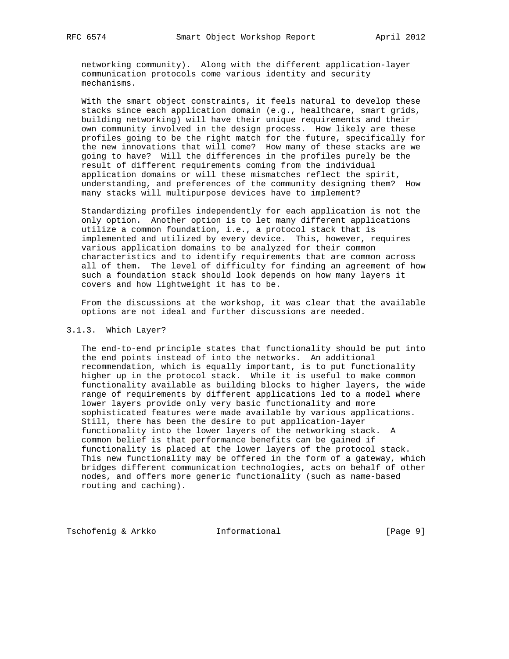networking community). Along with the different application-layer communication protocols come various identity and security mechanisms.

 With the smart object constraints, it feels natural to develop these stacks since each application domain (e.g., healthcare, smart grids, building networking) will have their unique requirements and their own community involved in the design process. How likely are these profiles going to be the right match for the future, specifically for the new innovations that will come? How many of these stacks are we going to have? Will the differences in the profiles purely be the result of different requirements coming from the individual application domains or will these mismatches reflect the spirit, understanding, and preferences of the community designing them? How many stacks will multipurpose devices have to implement?

 Standardizing profiles independently for each application is not the only option. Another option is to let many different applications utilize a common foundation, i.e., a protocol stack that is implemented and utilized by every device. This, however, requires various application domains to be analyzed for their common characteristics and to identify requirements that are common across all of them. The level of difficulty for finding an agreement of how such a foundation stack should look depends on how many layers it covers and how lightweight it has to be.

 From the discussions at the workshop, it was clear that the available options are not ideal and further discussions are needed.

# 3.1.3. Which Layer?

 The end-to-end principle states that functionality should be put into the end points instead of into the networks. An additional recommendation, which is equally important, is to put functionality higher up in the protocol stack. While it is useful to make common functionality available as building blocks to higher layers, the wide range of requirements by different applications led to a model where lower layers provide only very basic functionality and more sophisticated features were made available by various applications. Still, there has been the desire to put application-layer functionality into the lower layers of the networking stack. A common belief is that performance benefits can be gained if functionality is placed at the lower layers of the protocol stack. This new functionality may be offered in the form of a gateway, which bridges different communication technologies, acts on behalf of other nodes, and offers more generic functionality (such as name-based routing and caching).

Tschofenig & Arkko Informational [Page 9]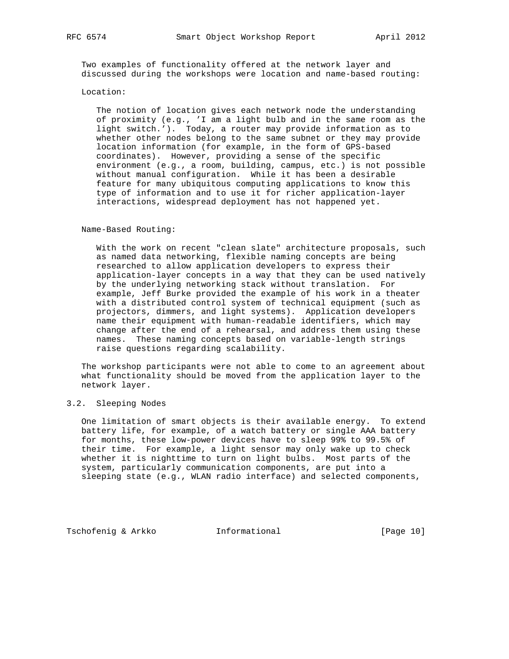Two examples of functionality offered at the network layer and discussed during the workshops were location and name-based routing:

### Location:

 The notion of location gives each network node the understanding of proximity (e.g., 'I am a light bulb and in the same room as the light switch.'). Today, a router may provide information as to whether other nodes belong to the same subnet or they may provide location information (for example, in the form of GPS-based coordinates). However, providing a sense of the specific environment (e.g., a room, building, campus, etc.) is not possible without manual configuration. While it has been a desirable feature for many ubiquitous computing applications to know this type of information and to use it for richer application-layer interactions, widespread deployment has not happened yet.

### Name-Based Routing:

 With the work on recent "clean slate" architecture proposals, such as named data networking, flexible naming concepts are being researched to allow application developers to express their application-layer concepts in a way that they can be used natively by the underlying networking stack without translation. For example, Jeff Burke provided the example of his work in a theater with a distributed control system of technical equipment (such as projectors, dimmers, and light systems). Application developers name their equipment with human-readable identifiers, which may change after the end of a rehearsal, and address them using these names. These naming concepts based on variable-length strings raise questions regarding scalability.

 The workshop participants were not able to come to an agreement about what functionality should be moved from the application layer to the network layer.

# 3.2. Sleeping Nodes

 One limitation of smart objects is their available energy. To extend battery life, for example, of a watch battery or single AAA battery for months, these low-power devices have to sleep 99% to 99.5% of their time. For example, a light sensor may only wake up to check whether it is nighttime to turn on light bulbs. Most parts of the system, particularly communication components, are put into a sleeping state (e.g., WLAN radio interface) and selected components,

Tschofenig & Arkko **Informational** [Page 10]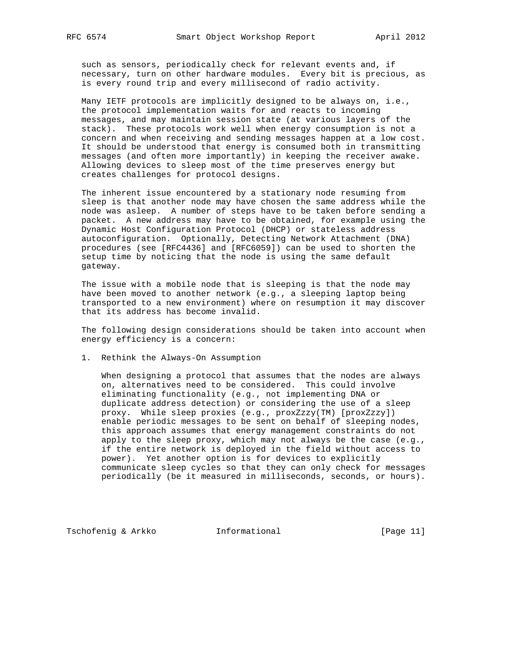such as sensors, periodically check for relevant events and, if necessary, turn on other hardware modules. Every bit is precious, as is every round trip and every millisecond of radio activity.

 Many IETF protocols are implicitly designed to be always on, i.e., the protocol implementation waits for and reacts to incoming messages, and may maintain session state (at various layers of the stack). These protocols work well when energy consumption is not a concern and when receiving and sending messages happen at a low cost. It should be understood that energy is consumed both in transmitting messages (and often more importantly) in keeping the receiver awake. Allowing devices to sleep most of the time preserves energy but creates challenges for protocol designs.

 The inherent issue encountered by a stationary node resuming from sleep is that another node may have chosen the same address while the node was asleep. A number of steps have to be taken before sending a packet. A new address may have to be obtained, for example using the Dynamic Host Configuration Protocol (DHCP) or stateless address autoconfiguration. Optionally, Detecting Network Attachment (DNA) procedures (see [RFC4436] and [RFC6059]) can be used to shorten the setup time by noticing that the node is using the same default gateway.

 The issue with a mobile node that is sleeping is that the node may have been moved to another network (e.g., a sleeping laptop being transported to a new environment) where on resumption it may discover that its address has become invalid.

 The following design considerations should be taken into account when energy efficiency is a concern:

1. Rethink the Always-On Assumption

 When designing a protocol that assumes that the nodes are always on, alternatives need to be considered. This could involve eliminating functionality (e.g., not implementing DNA or duplicate address detection) or considering the use of a sleep proxy. While sleep proxies (e.g., proxZzzy(TM) [proxZzzy]) enable periodic messages to be sent on behalf of sleeping nodes, this approach assumes that energy management constraints do not apply to the sleep proxy, which may not always be the case (e.g., if the entire network is deployed in the field without access to power). Yet another option is for devices to explicitly communicate sleep cycles so that they can only check for messages periodically (be it measured in milliseconds, seconds, or hours).

Tschofenig & Arkko **Informational** [Page 11]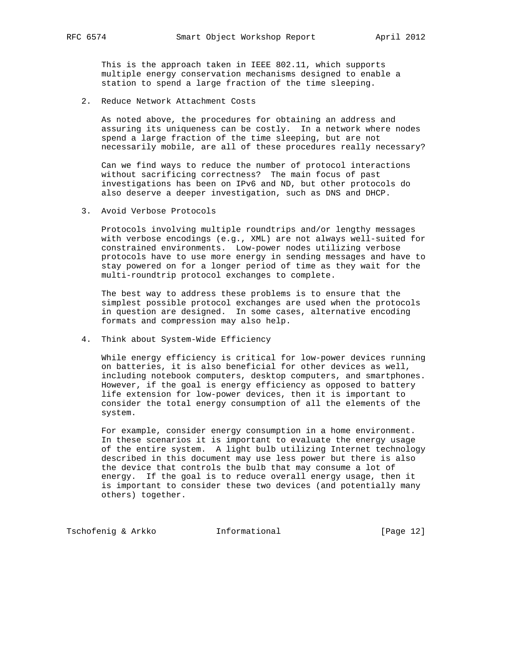This is the approach taken in IEEE 802.11, which supports multiple energy conservation mechanisms designed to enable a station to spend a large fraction of the time sleeping.

2. Reduce Network Attachment Costs

 As noted above, the procedures for obtaining an address and assuring its uniqueness can be costly. In a network where nodes spend a large fraction of the time sleeping, but are not necessarily mobile, are all of these procedures really necessary?

 Can we find ways to reduce the number of protocol interactions without sacrificing correctness? The main focus of past investigations has been on IPv6 and ND, but other protocols do also deserve a deeper investigation, such as DNS and DHCP.

3. Avoid Verbose Protocols

 Protocols involving multiple roundtrips and/or lengthy messages with verbose encodings (e.g., XML) are not always well-suited for constrained environments. Low-power nodes utilizing verbose protocols have to use more energy in sending messages and have to stay powered on for a longer period of time as they wait for the multi-roundtrip protocol exchanges to complete.

 The best way to address these problems is to ensure that the simplest possible protocol exchanges are used when the protocols in question are designed. In some cases, alternative encoding formats and compression may also help.

4. Think about System-Wide Efficiency

 While energy efficiency is critical for low-power devices running on batteries, it is also beneficial for other devices as well, including notebook computers, desktop computers, and smartphones. However, if the goal is energy efficiency as opposed to battery life extension for low-power devices, then it is important to consider the total energy consumption of all the elements of the system.

 For example, consider energy consumption in a home environment. In these scenarios it is important to evaluate the energy usage of the entire system. A light bulb utilizing Internet technology described in this document may use less power but there is also the device that controls the bulb that may consume a lot of energy. If the goal is to reduce overall energy usage, then it is important to consider these two devices (and potentially many others) together.

Tschofenig & Arkko **Informational** [Page 12]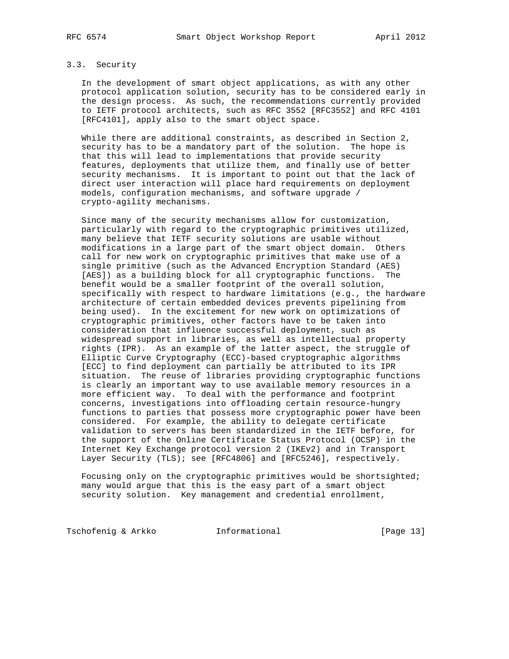# 3.3. Security

 In the development of smart object applications, as with any other protocol application solution, security has to be considered early in the design process. As such, the recommendations currently provided to IETF protocol architects, such as RFC 3552 [RFC3552] and RFC 4101 [RFC4101], apply also to the smart object space.

 While there are additional constraints, as described in Section 2, security has to be a mandatory part of the solution. The hope is that this will lead to implementations that provide security features, deployments that utilize them, and finally use of better security mechanisms. It is important to point out that the lack of direct user interaction will place hard requirements on deployment models, configuration mechanisms, and software upgrade / crypto-agility mechanisms.

 Since many of the security mechanisms allow for customization, particularly with regard to the cryptographic primitives utilized, many believe that IETF security solutions are usable without modifications in a large part of the smart object domain. Others call for new work on cryptographic primitives that make use of a single primitive (such as the Advanced Encryption Standard (AES) [AES]) as a building block for all cryptographic functions. The benefit would be a smaller footprint of the overall solution, specifically with respect to hardware limitations (e.g., the hardware architecture of certain embedded devices prevents pipelining from being used). In the excitement for new work on optimizations of cryptographic primitives, other factors have to be taken into consideration that influence successful deployment, such as widespread support in libraries, as well as intellectual property rights (IPR). As an example of the latter aspect, the struggle of Elliptic Curve Cryptography (ECC)-based cryptographic algorithms [ECC] to find deployment can partially be attributed to its IPR situation. The reuse of libraries providing cryptographic functions is clearly an important way to use available memory resources in a more efficient way. To deal with the performance and footprint concerns, investigations into offloading certain resource-hungry functions to parties that possess more cryptographic power have been considered. For example, the ability to delegate certificate validation to servers has been standardized in the IETF before, for the support of the Online Certificate Status Protocol (OCSP) in the Internet Key Exchange protocol version 2 (IKEv2) and in Transport Layer Security (TLS); see [RFC4806] and [RFC5246], respectively.

 Focusing only on the cryptographic primitives would be shortsighted; many would argue that this is the easy part of a smart object security solution. Key management and credential enrollment,

Tschofenig & Arkko **Informational** [Page 13]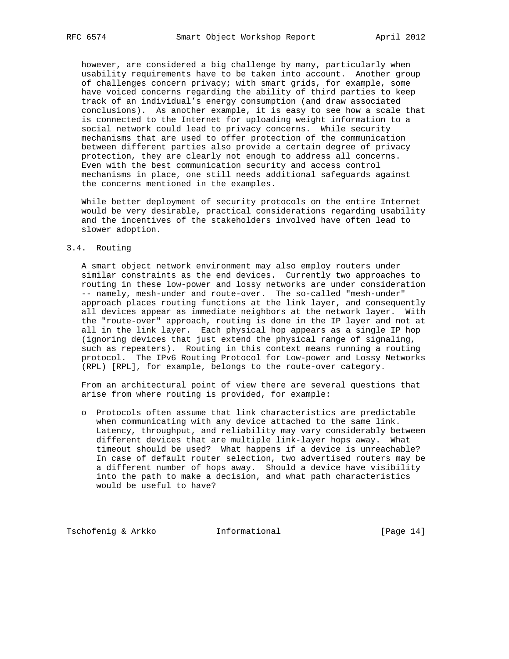however, are considered a big challenge by many, particularly when usability requirements have to be taken into account. Another group of challenges concern privacy; with smart grids, for example, some have voiced concerns regarding the ability of third parties to keep track of an individual's energy consumption (and draw associated conclusions). As another example, it is easy to see how a scale that is connected to the Internet for uploading weight information to a social network could lead to privacy concerns. While security mechanisms that are used to offer protection of the communication between different parties also provide a certain degree of privacy protection, they are clearly not enough to address all concerns. Even with the best communication security and access control mechanisms in place, one still needs additional safeguards against the concerns mentioned in the examples.

 While better deployment of security protocols on the entire Internet would be very desirable, practical considerations regarding usability and the incentives of the stakeholders involved have often lead to slower adoption.

# 3.4. Routing

 A smart object network environment may also employ routers under similar constraints as the end devices. Currently two approaches to routing in these low-power and lossy networks are under consideration -- namely, mesh-under and route-over. The so-called "mesh-under" approach places routing functions at the link layer, and consequently all devices appear as immediate neighbors at the network layer. With the "route-over" approach, routing is done in the IP layer and not at all in the link layer. Each physical hop appears as a single IP hop (ignoring devices that just extend the physical range of signaling, such as repeaters). Routing in this context means running a routing protocol. The IPv6 Routing Protocol for Low-power and Lossy Networks (RPL) [RPL], for example, belongs to the route-over category.

 From an architectural point of view there are several questions that arise from where routing is provided, for example:

 o Protocols often assume that link characteristics are predictable when communicating with any device attached to the same link. Latency, throughput, and reliability may vary considerably between different devices that are multiple link-layer hops away. What timeout should be used? What happens if a device is unreachable? In case of default router selection, two advertised routers may be a different number of hops away. Should a device have visibility into the path to make a decision, and what path characteristics would be useful to have?

Tschofenig & Arkko **Informational** [Page 14]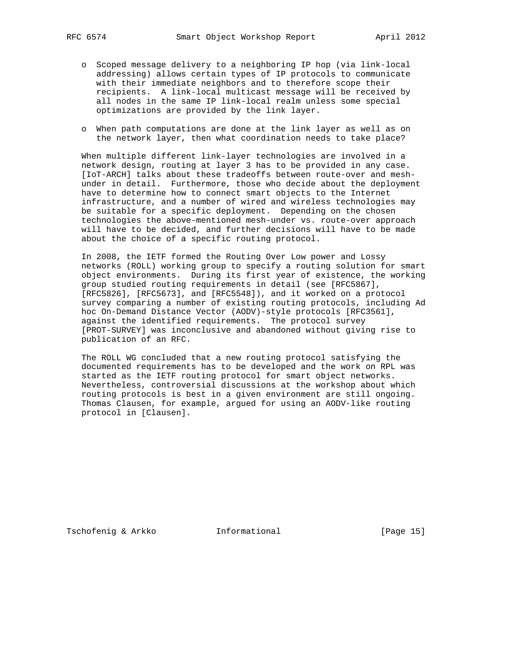- o Scoped message delivery to a neighboring IP hop (via link-local addressing) allows certain types of IP protocols to communicate with their immediate neighbors and to therefore scope their recipients. A link-local multicast message will be received by all nodes in the same IP link-local realm unless some special optimizations are provided by the link layer.
- o When path computations are done at the link layer as well as on the network layer, then what coordination needs to take place?

 When multiple different link-layer technologies are involved in a network design, routing at layer 3 has to be provided in any case. [IoT-ARCH] talks about these tradeoffs between route-over and mesh under in detail. Furthermore, those who decide about the deployment have to determine how to connect smart objects to the Internet infrastructure, and a number of wired and wireless technologies may be suitable for a specific deployment. Depending on the chosen technologies the above-mentioned mesh-under vs. route-over approach will have to be decided, and further decisions will have to be made about the choice of a specific routing protocol.

 In 2008, the IETF formed the Routing Over Low power and Lossy networks (ROLL) working group to specify a routing solution for smart object environments. During its first year of existence, the working group studied routing requirements in detail (see [RFC5867], [RFC5826], [RFC5673], and [RFC5548]), and it worked on a protocol survey comparing a number of existing routing protocols, including Ad hoc On-Demand Distance Vector (AODV)-style protocols [RFC3561], against the identified requirements. The protocol survey [PROT-SURVEY] was inconclusive and abandoned without giving rise to publication of an RFC.

 The ROLL WG concluded that a new routing protocol satisfying the documented requirements has to be developed and the work on RPL was started as the IETF routing protocol for smart object networks. Nevertheless, controversial discussions at the workshop about which routing protocols is best in a given environment are still ongoing. Thomas Clausen, for example, argued for using an AODV-like routing protocol in [Clausen].

Tschofenig & Arkko Informational [Page 15]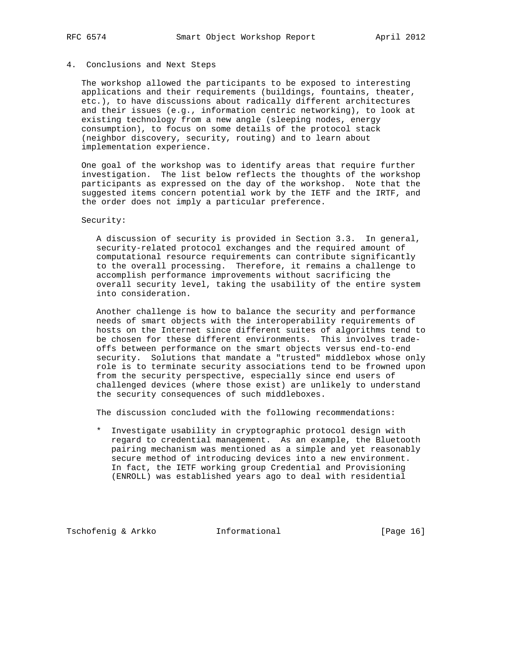### 4. Conclusions and Next Steps

 The workshop allowed the participants to be exposed to interesting applications and their requirements (buildings, fountains, theater, etc.), to have discussions about radically different architectures and their issues (e.g., information centric networking), to look at existing technology from a new angle (sleeping nodes, energy consumption), to focus on some details of the protocol stack (neighbor discovery, security, routing) and to learn about implementation experience.

 One goal of the workshop was to identify areas that require further investigation. The list below reflects the thoughts of the workshop participants as expressed on the day of the workshop. Note that the suggested items concern potential work by the IETF and the IRTF, and the order does not imply a particular preference.

Security:

 A discussion of security is provided in Section 3.3. In general, security-related protocol exchanges and the required amount of computational resource requirements can contribute significantly to the overall processing. Therefore, it remains a challenge to accomplish performance improvements without sacrificing the overall security level, taking the usability of the entire system into consideration.

 Another challenge is how to balance the security and performance needs of smart objects with the interoperability requirements of hosts on the Internet since different suites of algorithms tend to be chosen for these different environments. This involves trade offs between performance on the smart objects versus end-to-end security. Solutions that mandate a "trusted" middlebox whose only role is to terminate security associations tend to be frowned upon from the security perspective, especially since end users of challenged devices (where those exist) are unlikely to understand the security consequences of such middleboxes.

The discussion concluded with the following recommendations:

 \* Investigate usability in cryptographic protocol design with regard to credential management. As an example, the Bluetooth pairing mechanism was mentioned as a simple and yet reasonably secure method of introducing devices into a new environment. In fact, the IETF working group Credential and Provisioning (ENROLL) was established years ago to deal with residential

Tschofenig & Arkko **Informational** [Page 16]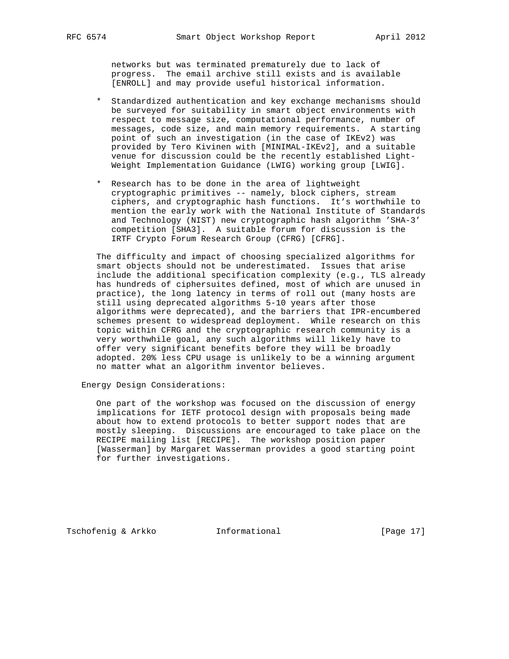networks but was terminated prematurely due to lack of progress. The email archive still exists and is available [ENROLL] and may provide useful historical information.

- \* Standardized authentication and key exchange mechanisms should be surveyed for suitability in smart object environments with respect to message size, computational performance, number of messages, code size, and main memory requirements. A starting point of such an investigation (in the case of IKEv2) was provided by Tero Kivinen with [MINIMAL-IKEv2], and a suitable venue for discussion could be the recently established Light- Weight Implementation Guidance (LWIG) working group [LWIG].
- \* Research has to be done in the area of lightweight cryptographic primitives -- namely, block ciphers, stream ciphers, and cryptographic hash functions. It's worthwhile to mention the early work with the National Institute of Standards and Technology (NIST) new cryptographic hash algorithm 'SHA-3' competition [SHA3]. A suitable forum for discussion is the IRTF Crypto Forum Research Group (CFRG) [CFRG].

 The difficulty and impact of choosing specialized algorithms for smart objects should not be underestimated. Issues that arise include the additional specification complexity (e.g., TLS already has hundreds of ciphersuites defined, most of which are unused in practice), the long latency in terms of roll out (many hosts are still using deprecated algorithms 5-10 years after those algorithms were deprecated), and the barriers that IPR-encumbered schemes present to widespread deployment. While research on this topic within CFRG and the cryptographic research community is a very worthwhile goal, any such algorithms will likely have to offer very significant benefits before they will be broadly adopted. 20% less CPU usage is unlikely to be a winning argument no matter what an algorithm inventor believes.

Energy Design Considerations:

 One part of the workshop was focused on the discussion of energy implications for IETF protocol design with proposals being made about how to extend protocols to better support nodes that are mostly sleeping. Discussions are encouraged to take place on the RECIPE mailing list [RECIPE]. The workshop position paper [Wasserman] by Margaret Wasserman provides a good starting point for further investigations.

Tschofenig & Arkko **Informational** [Page 17]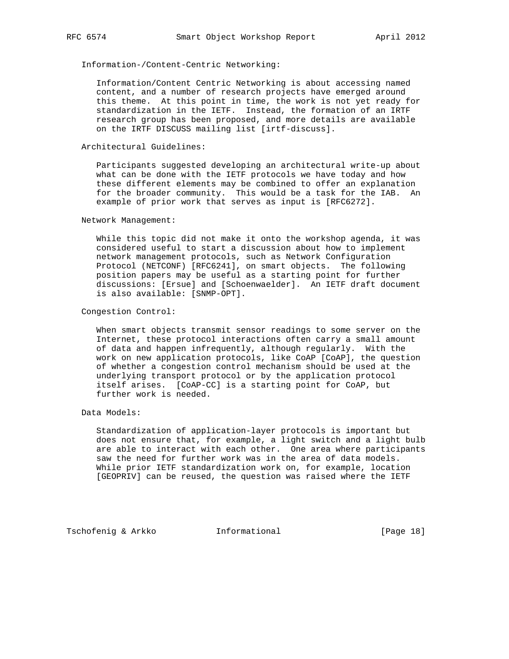Information-/Content-Centric Networking:

 Information/Content Centric Networking is about accessing named content, and a number of research projects have emerged around this theme. At this point in time, the work is not yet ready for standardization in the IETF. Instead, the formation of an IRTF research group has been proposed, and more details are available on the IRTF DISCUSS mailing list [irtf-discuss].

# Architectural Guidelines:

 Participants suggested developing an architectural write-up about what can be done with the IETF protocols we have today and how these different elements may be combined to offer an explanation for the broader community. This would be a task for the IAB. An example of prior work that serves as input is [RFC6272].

#### Network Management:

 While this topic did not make it onto the workshop agenda, it was considered useful to start a discussion about how to implement network management protocols, such as Network Configuration Protocol (NETCONF) [RFC6241], on smart objects. The following position papers may be useful as a starting point for further discussions: [Ersue] and [Schoenwaelder]. An IETF draft document is also available: [SNMP-OPT].

### Congestion Control:

 When smart objects transmit sensor readings to some server on the Internet, these protocol interactions often carry a small amount of data and happen infrequently, although regularly. With the work on new application protocols, like CoAP [CoAP], the question of whether a congestion control mechanism should be used at the underlying transport protocol or by the application protocol itself arises. [CoAP-CC] is a starting point for CoAP, but further work is needed.

### Data Models:

 Standardization of application-layer protocols is important but does not ensure that, for example, a light switch and a light bulb are able to interact with each other. One area where participants saw the need for further work was in the area of data models. While prior IETF standardization work on, for example, location [GEOPRIV] can be reused, the question was raised where the IETF

Tschofenig & Arkko Informational [Page 18]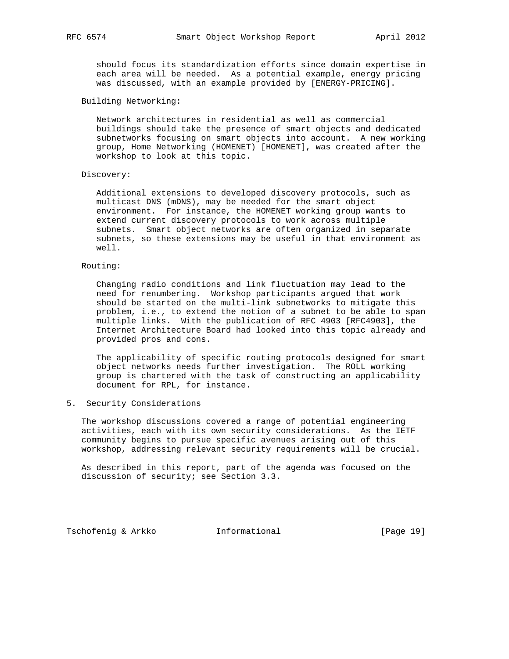should focus its standardization efforts since domain expertise in each area will be needed. As a potential example, energy pricing was discussed, with an example provided by [ENERGY-PRICING].

### Building Networking:

 Network architectures in residential as well as commercial buildings should take the presence of smart objects and dedicated subnetworks focusing on smart objects into account. A new working group, Home Networking (HOMENET) [HOMENET], was created after the workshop to look at this topic.

#### Discovery:

 Additional extensions to developed discovery protocols, such as multicast DNS (mDNS), may be needed for the smart object environment. For instance, the HOMENET working group wants to extend current discovery protocols to work across multiple subnets. Smart object networks are often organized in separate subnets, so these extensions may be useful in that environment as well.

# Routing:

 Changing radio conditions and link fluctuation may lead to the need for renumbering. Workshop participants argued that work should be started on the multi-link subnetworks to mitigate this problem, i.e., to extend the notion of a subnet to be able to span multiple links. With the publication of RFC 4903 [RFC4903], the Internet Architecture Board had looked into this topic already and provided pros and cons.

 The applicability of specific routing protocols designed for smart object networks needs further investigation. The ROLL working group is chartered with the task of constructing an applicability document for RPL, for instance.

# 5. Security Considerations

 The workshop discussions covered a range of potential engineering activities, each with its own security considerations. As the IETF community begins to pursue specific avenues arising out of this workshop, addressing relevant security requirements will be crucial.

 As described in this report, part of the agenda was focused on the discussion of security; see Section 3.3.

Tschofenig & Arkko Informational [Page 19]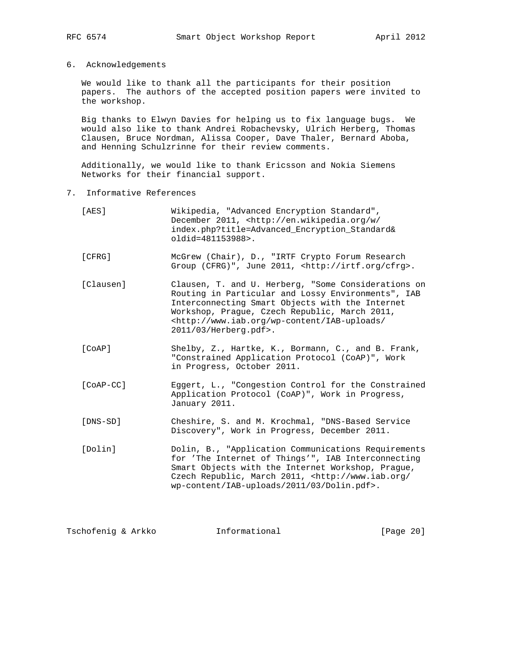6. Acknowledgements

 We would like to thank all the participants for their position papers. The authors of the accepted position papers were invited to the workshop.

 Big thanks to Elwyn Davies for helping us to fix language bugs. We would also like to thank Andrei Robachevsky, Ulrich Herberg, Thomas Clausen, Bruce Nordman, Alissa Cooper, Dave Thaler, Bernard Aboba, and Henning Schulzrinne for their review comments.

 Additionally, we would like to thank Ericsson and Nokia Siemens Networks for their financial support.

7. Informative References

| [AES]       | Wikipedia, "Advanced Encryption Standard",<br>December 2011, <http: <br="" en.wikipedia.org="" w="">index.php?title=Advanced_Encryption_Standard&amp;<br/>oldid=481153988&gt;.</http:>                                                                                                                      |
|-------------|-------------------------------------------------------------------------------------------------------------------------------------------------------------------------------------------------------------------------------------------------------------------------------------------------------------|
| [CFRG]      | McGrew (Chair), D., "IRTF Crypto Forum Research<br>Group (CFRG)", June 2011, <http: cfrg="" irtf.org="">.</http:>                                                                                                                                                                                           |
| [Clausen]   | Clausen, T. and U. Herberg, "Some Considerations on<br>Routing in Particular and Lossy Environments", IAB<br>Interconnecting Smart Objects with the Internet<br>Workshop, Prague, Czech Republic, March 2011,<br><http: <br="" iab-uploads="" wp-content="" www.iab.org="">2011/03/Herberg.pdf&gt;.</http:> |
| [COAP]      | Shelby, Z., Hartke, K., Bormann, C., and B. Frank,<br>"Constrained Application Protocol (CoAP)", Work<br>in Progress, October 2011.                                                                                                                                                                         |
| $[CoAP-CC]$ | Eqqert, L., "Congestion Control for the Constrained<br>Application Protocol (CoAP)", Work in Progress,<br>January 2011.                                                                                                                                                                                     |
| [DNS-SD]    | Cheshire, S. and M. Krochmal, "DNS-Based Service<br>Discovery", Work in Progress, December 2011.                                                                                                                                                                                                            |
| [Dolin]     | Dolin, B., "Application Communications Requirements<br>for 'The Internet of Things'", IAB Interconnecting<br>Smart Objects with the Internet Workshop, Prague,<br>Czech Republic, March 2011, <http: <br="" www.iab.org="">wp-content/IAB-uploads/2011/03/Dolin.pdf&gt;.</http:>                            |

Tschofenig & Arkko **Informational** [Page 20]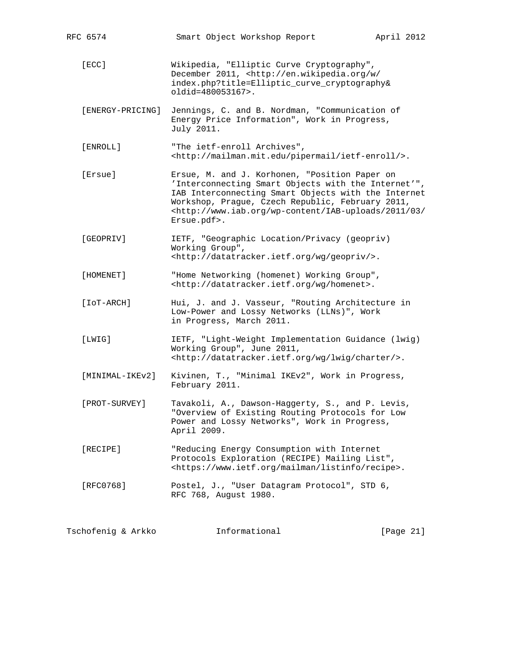|                                                                                                                                                                                                                                                                                                                              | RFC 6574        | Smart Object Workshop Report                                                                                                                                                         | April 2012 |  |
|------------------------------------------------------------------------------------------------------------------------------------------------------------------------------------------------------------------------------------------------------------------------------------------------------------------------------|-----------------|--------------------------------------------------------------------------------------------------------------------------------------------------------------------------------------|------------|--|
|                                                                                                                                                                                                                                                                                                                              | [ECC]           | Wikipedia, "Elliptic Curve Cryptography",<br>December 2011, <http: <br="" en.wikipedia.org="" w="">index.php?title=Elliptic_curve_cryptography&amp;<br/>oldid=480053167&gt;.</http:> |            |  |
| Jennings, C. and B. Nordman, "Communication of<br>[ENERGY-PRICING]<br>Energy Price Information", Work in Progress,<br>July 2011.                                                                                                                                                                                             |                 |                                                                                                                                                                                      |            |  |
| [ENROLL]<br>"The ietf-enroll Archives",<br><http: ietf-enroll="" mailman.mit.edu="" pipermail=""></http:> .                                                                                                                                                                                                                  |                 |                                                                                                                                                                                      |            |  |
| [Ersue]<br>Ersue, M. and J. Korhonen, "Position Paper on<br>'Interconnecting Smart Objects with the Internet'",<br>IAB Interconnecting Smart Objects with the Internet<br>Workshop, Prague, Czech Republic, February 2011,<br><http: 03="" 2011="" <br="" iab-uploads="" wp-content="" www.iab.org="">Ersue.pdf&gt;.</http:> |                 |                                                                                                                                                                                      |            |  |
|                                                                                                                                                                                                                                                                                                                              | [GEOPRIV]       | IETF, "Geographic Location/Privacy (geopriv)<br>Working Group",<br><http: datatracker.ietf.org="" geopriv="" wg=""></http:> .                                                        |            |  |
|                                                                                                                                                                                                                                                                                                                              | [HOMENET]       | "Home Networking (homenet) Working Group",<br><http: datatracker.ietf.org="" homenet="" wg="">.</http:>                                                                              |            |  |
|                                                                                                                                                                                                                                                                                                                              | [IOT-ARCH]      | Hui, J. and J. Vasseur, "Routing Architecture in<br>Low-Power and Lossy Networks (LLNs)", Work<br>in Progress, March 2011.                                                           |            |  |
|                                                                                                                                                                                                                                                                                                                              | [LWIG]          | IETF, "Light-Weight Implementation Guidance (lwig)<br>Working Group", June 2011,<br><http: charter="" datatracker.ietf.org="" lwig="" wg=""></http:> .                               |            |  |
|                                                                                                                                                                                                                                                                                                                              | [MINIMAL-IKEv2] | Kivinen, T., "Minimal IKEv2", Work in Progress,<br>February 2011.                                                                                                                    |            |  |
|                                                                                                                                                                                                                                                                                                                              | [PROT-SURVEY]   | Tavakoli, A., Dawson-Haggerty, S., and P. Levis,<br>"Overview of Existing Routing Protocols for Low<br>Power and Lossy Networks", Work in Progress,<br>April 2009.                   |            |  |
|                                                                                                                                                                                                                                                                                                                              | [RECIPE]        | "Reducing Energy Consumption with Internet<br>Protocols Exploration (RECIPE) Mailing List",<br><https: listinfo="" mailman="" recipe="" www.ietf.org="">.</https:>                   |            |  |
|                                                                                                                                                                                                                                                                                                                              | [RFC0768]       | Postel, J., "User Datagram Protocol", STD 6,<br>RFC 768, August 1980.                                                                                                                |            |  |
|                                                                                                                                                                                                                                                                                                                              |                 |                                                                                                                                                                                      |            |  |

Tschofenig & Arkko **Informational** [Page 21]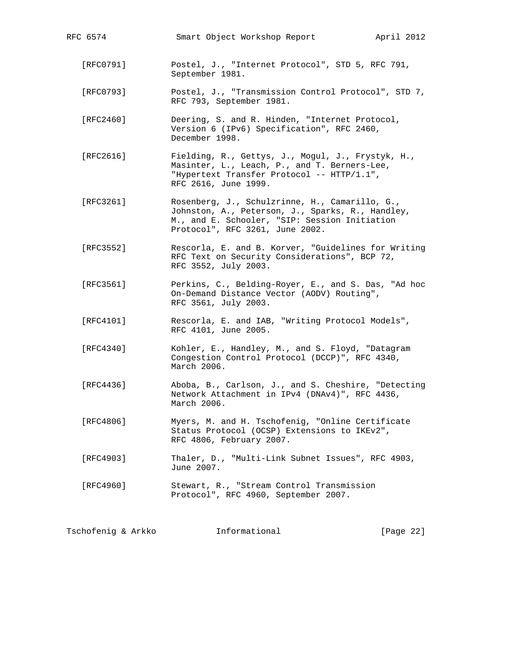| RFC 6574  | Smart Object Workshop Report<br>April 2012                                                                                                                                             |  |
|-----------|----------------------------------------------------------------------------------------------------------------------------------------------------------------------------------------|--|
| [RFC0791] | Postel, J., "Internet Protocol", STD 5, RFC 791,<br>September 1981.                                                                                                                    |  |
| [RFC0793] | Postel, J., "Transmission Control Protocol", STD 7,<br>RFC 793, September 1981.                                                                                                        |  |
| [RFC2460] | Deering, S. and R. Hinden, "Internet Protocol,<br>Version 6 (IPv6) Specification", RFC 2460,<br>December 1998.                                                                         |  |
| [RFC2616] | Fielding, R., Gettys, J., Mogul, J., Frystyk, H.,<br>Masinter, L., Leach, P., and T. Berners-Lee,<br>"Hypertext Transfer Protocol -- HTTP/1.1",<br>RFC 2616, June 1999.                |  |
| [RFC3261] | Rosenberg, J., Schulzrinne, H., Camarillo, G.,<br>Johnston, A., Peterson, J., Sparks, R., Handley,<br>M., and E. Schooler, "SIP: Session Initiation<br>Protocol", RFC 3261, June 2002. |  |
| [RFC3552] | Rescorla, E. and B. Korver, "Guidelines for Writing<br>RFC Text on Security Considerations", BCP 72,<br>RFC 3552, July 2003.                                                           |  |
| [RFC3561] | Perkins, C., Belding-Royer, E., and S. Das, "Ad hoc<br>On-Demand Distance Vector (AODV) Routing",<br>RFC 3561, July 2003.                                                              |  |
| [RFC4101] | Rescorla, E. and IAB, "Writing Protocol Models",<br>RFC 4101, June 2005.                                                                                                               |  |
| [RFC4340] | Kohler, E., Handley, M., and S. Floyd, "Datagram<br>Congestion Control Protocol (DCCP)", RFC 4340,<br>March 2006.                                                                      |  |
| [RFC4436] | Aboba, B., Carlson, J., and S. Cheshire, "Detecting<br>Network Attachment in IPv4 (DNAv4)", RFC 4436,<br>March 2006.                                                                   |  |
| [RFC4806] | Myers, M. and H. Tschofenig, "Online Certificate<br>Status Protocol (OCSP) Extensions to IKEv2",<br>RFC 4806, February 2007.                                                           |  |
| [RFC4903] | Thaler, D., "Multi-Link Subnet Issues", RFC 4903,<br>June 2007.                                                                                                                        |  |
| [RFC4960] | Stewart, R., "Stream Control Transmission<br>Protocol", RFC 4960, September 2007.                                                                                                      |  |
|           |                                                                                                                                                                                        |  |

Tschofenig & Arkko **Informational** [Page 22]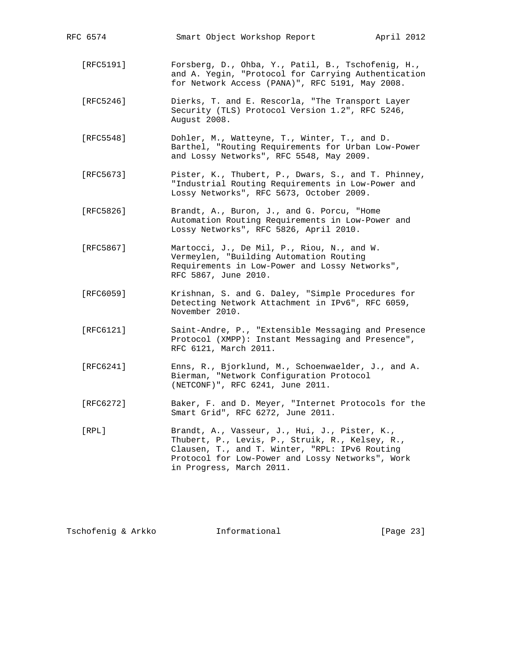| RFC 6574      | Smart Object Workshop Report<br>April 2012                                                                                                                                                                                         |
|---------------|------------------------------------------------------------------------------------------------------------------------------------------------------------------------------------------------------------------------------------|
| [RFC5191]     | Forsberg, D., Ohba, Y., Patil, B., Tschofenig, H.,<br>and A. Yegin, "Protocol for Carrying Authentication<br>for Network Access (PANA)", RFC 5191, May 2008.                                                                       |
| [RFC5246]     | Dierks, T. and E. Rescorla, "The Transport Layer<br>Security (TLS) Protocol Version 1.2", RFC 5246,<br>August 2008.                                                                                                                |
| [RFC5548]     | Dohler, M., Watteyne, T., Winter, T., and D.<br>Barthel, "Routing Requirements for Urban Low-Power<br>and Lossy Networks", RFC 5548, May 2009.                                                                                     |
| [RFC5673]     | Pister, K., Thubert, P., Dwars, S., and T. Phinney,<br>"Industrial Routing Requirements in Low-Power and<br>Lossy Networks", RFC 5673, October 2009.                                                                               |
| [RFC5826]     | Brandt, A., Buron, J., and G. Porcu, "Home<br>Automation Routing Requirements in Low-Power and<br>Lossy Networks", RFC 5826, April 2010.                                                                                           |
| [RFC5867]     | Martocci, J., De Mil, P., Riou, N., and W.<br>Vermeylen, "Building Automation Routing<br>Requirements in Low-Power and Lossy Networks",<br>RFC 5867, June 2010.                                                                    |
| [REC6059]     | Krishnan, S. and G. Daley, "Simple Procedures for<br>Detecting Network Attachment in IPv6", RFC 6059,<br>November 2010.                                                                                                            |
| [RFC6121]     | Saint-Andre, P., "Extensible Messaging and Presence<br>Protocol (XMPP): Instant Messaging and Presence",<br>RFC 6121, March 2011.                                                                                                  |
| [RFC6241]     | Enns, R., Bjorklund, M., Schoenwaelder, J., and A.<br>Bierman, "Network Configuration Protocol<br>(NETCONF)", RFC 6241, June 2011.                                                                                                 |
| [ $RFC6272$ ] | Baker, F. and D. Meyer, "Internet Protocols for the<br>Smart Grid", RFC 6272, June 2011.                                                                                                                                           |
| $[$ RPL $]$   | Brandt, A., Vasseur, J., Hui, J., Pister, K.,<br>Thubert, P., Levis, P., Struik, R., Kelsey, R.,<br>Clausen, T., and T. Winter, "RPL: IPv6 Routing<br>Protocol for Low-Power and Lossy Networks", Work<br>in Progress, March 2011. |

Tschofenig & Arkko **Informational** [Page 23]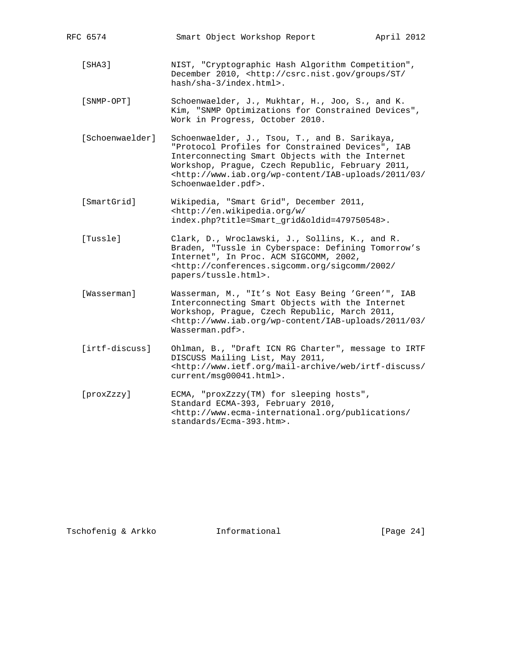| RFC 6574                                                                                                                                                                                                                                                                                                                              | Smart Object Workshop Report                                                                                                                                                                                                                                | April 2012 |  |
|---------------------------------------------------------------------------------------------------------------------------------------------------------------------------------------------------------------------------------------------------------------------------------------------------------------------------------------|-------------------------------------------------------------------------------------------------------------------------------------------------------------------------------------------------------------------------------------------------------------|------------|--|
| [SHA3]                                                                                                                                                                                                                                                                                                                                | NIST, "Cryptographic Hash Algorithm Competition",<br>December 2010, <http: <br="" csrc.nist.gov="" groups="" st="">hash/sha-3/index.html&gt;.</http:>                                                                                                       |            |  |
| [SNMP-OPT]                                                                                                                                                                                                                                                                                                                            | Schoenwaelder, J., Mukhtar, H., Joo, S., and K.<br>Kim, "SNMP Optimizations for Constrained Devices",<br>Work in Progress, October 2010.                                                                                                                    |            |  |
| [Schoenwaelder]<br>Schoenwaelder, J., Tsou, T., and B. Sarikaya,<br>"Protocol Profiles for Constrained Devices", IAB<br>Interconnecting Smart Objects with the Internet<br>Workshop, Prague, Czech Republic, February 2011,<br><http: 03="" 2011="" <br="" iab-uploads="" wp-content="" www.iab.org="">Schoenwaelder.pdf&gt;.</http:> |                                                                                                                                                                                                                                                             |            |  |
| [SmartGrid]                                                                                                                                                                                                                                                                                                                           | Wikipedia, "Smart Grid", December 2011,<br><http: <br="" en.wikipedia.org="" w="">index.php?title=Smart_grid&amp;oldid=479750548&gt;.</http:>                                                                                                               |            |  |
| [Tussle]                                                                                                                                                                                                                                                                                                                              | Clark, D., Wroclawski, J., Sollins, K., and R.<br>Braden, "Tussle in Cyberspace: Defining Tomorrow's<br>Internet", In Proc. ACM SIGCOMM, 2002,<br><http: 2002="" <br="" conferences.sigcomm.org="" sigcomm="">papers/tussle.html&gt;.</http:>               |            |  |
| [Wasserman]                                                                                                                                                                                                                                                                                                                           | Wasserman, M., "It's Not Easy Being 'Green'", IAB<br>Interconnecting Smart Objects with the Internet<br>Workshop, Prague, Czech Republic, March 2011,<br><http: 03="" 2011="" <br="" iab-uploads="" wp-content="" www.iab.org="">Wasserman.pdf&gt;.</http:> |            |  |
| [irtf-discuss]                                                                                                                                                                                                                                                                                                                        | Ohlman, B., "Draft ICN RG Charter", message to IRTF<br>DISCUSS Mailing List, May 2011,<br><http: <br="" irtf-discuss="" mail-archive="" web="" www.ietf.org="">current/msg00041.html&gt;.</http:>                                                           |            |  |
| [proxZzzy]                                                                                                                                                                                                                                                                                                                            | ECMA, "proxZzzy(TM) for sleeping hosts",<br>Standard ECMA-393, February 2010,<br><http: <br="" publications="" www.ecma-international.org="">standards/Ecma-393.htm&gt;.</http:>                                                                            |            |  |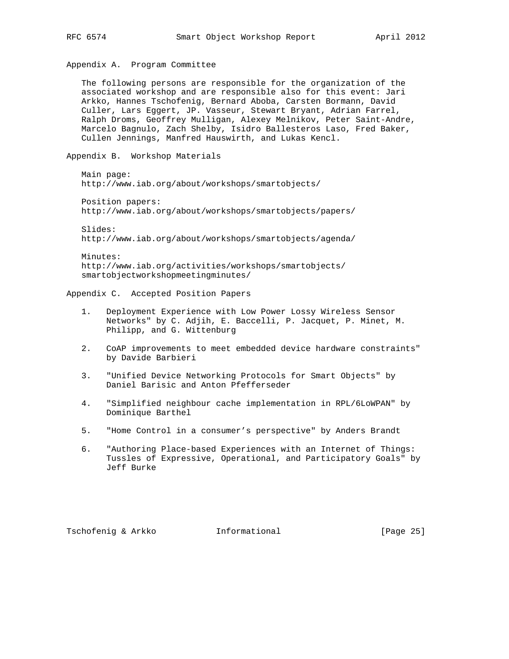Appendix A. Program Committee

Appendix B. Workshop Materials

 The following persons are responsible for the organization of the associated workshop and are responsible also for this event: Jari Arkko, Hannes Tschofenig, Bernard Aboba, Carsten Bormann, David Culler, Lars Eggert, JP. Vasseur, Stewart Bryant, Adrian Farrel, Ralph Droms, Geoffrey Mulligan, Alexey Melnikov, Peter Saint-Andre, Marcelo Bagnulo, Zach Shelby, Isidro Ballesteros Laso, Fred Baker, Cullen Jennings, Manfred Hauswirth, and Lukas Kencl.

 Main page: http://www.iab.org/about/workshops/smartobjects/

 Position papers: http://www.iab.org/about/workshops/smartobjects/papers/

 Slides: http://www.iab.org/about/workshops/smartobjects/agenda/

 Minutes: http://www.iab.org/activities/workshops/smartobjects/ smartobjectworkshopmeetingminutes/

Appendix C. Accepted Position Papers

- 1. Deployment Experience with Low Power Lossy Wireless Sensor Networks" by C. Adjih, E. Baccelli, P. Jacquet, P. Minet, M. Philipp, and G. Wittenburg
- 2. CoAP improvements to meet embedded device hardware constraints" by Davide Barbieri
- 3. "Unified Device Networking Protocols for Smart Objects" by Daniel Barisic and Anton Pfefferseder
- 4. "Simplified neighbour cache implementation in RPL/6LoWPAN" by Dominique Barthel
- 5. "Home Control in a consumer's perspective" by Anders Brandt
- 6. "Authoring Place-based Experiences with an Internet of Things: Tussles of Expressive, Operational, and Participatory Goals" by Jeff Burke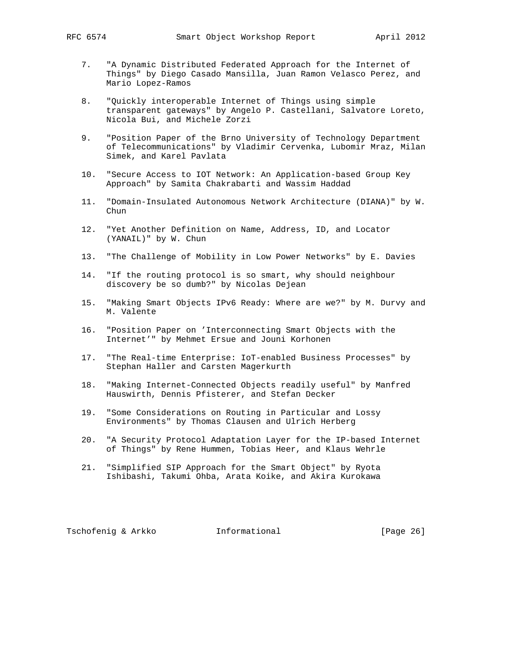- 7. "A Dynamic Distributed Federated Approach for the Internet of Things" by Diego Casado Mansilla, Juan Ramon Velasco Perez, and Mario Lopez-Ramos
- 8. "Quickly interoperable Internet of Things using simple transparent gateways" by Angelo P. Castellani, Salvatore Loreto, Nicola Bui, and Michele Zorzi
- 9. "Position Paper of the Brno University of Technology Department of Telecommunications" by Vladimir Cervenka, Lubomir Mraz, Milan Simek, and Karel Pavlata
- 10. "Secure Access to IOT Network: An Application-based Group Key Approach" by Samita Chakrabarti and Wassim Haddad
- 11. "Domain-Insulated Autonomous Network Architecture (DIANA)" by W. Chun
- 12. "Yet Another Definition on Name, Address, ID, and Locator (YANAIL)" by W. Chun
- 13. "The Challenge of Mobility in Low Power Networks" by E. Davies
- 14. "If the routing protocol is so smart, why should neighbour discovery be so dumb?" by Nicolas Dejean
- 15. "Making Smart Objects IPv6 Ready: Where are we?" by M. Durvy and M. Valente
- 16. "Position Paper on 'Interconnecting Smart Objects with the Internet'" by Mehmet Ersue and Jouni Korhonen
- 17. "The Real-time Enterprise: IoT-enabled Business Processes" by Stephan Haller and Carsten Magerkurth
- 18. "Making Internet-Connected Objects readily useful" by Manfred Hauswirth, Dennis Pfisterer, and Stefan Decker
- 19. "Some Considerations on Routing in Particular and Lossy Environments" by Thomas Clausen and Ulrich Herberg
- 20. "A Security Protocol Adaptation Layer for the IP-based Internet of Things" by Rene Hummen, Tobias Heer, and Klaus Wehrle
- 21. "Simplified SIP Approach for the Smart Object" by Ryota Ishibashi, Takumi Ohba, Arata Koike, and Akira Kurokawa

Tschofenig & Arkko Informational [Page 26]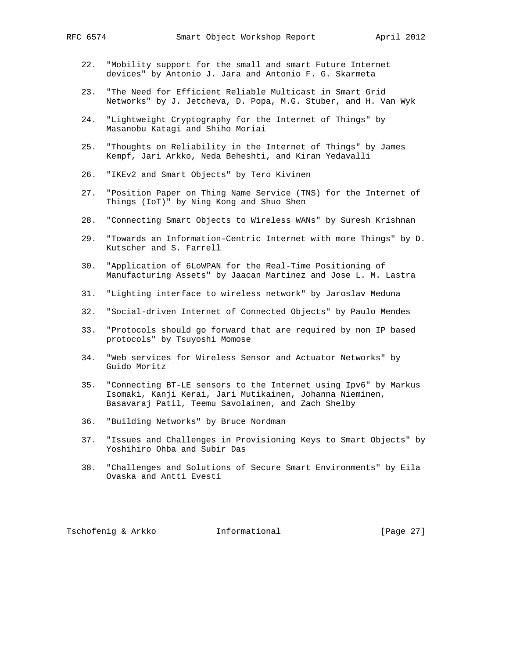- 22. "Mobility support for the small and smart Future Internet devices" by Antonio J. Jara and Antonio F. G. Skarmeta
- 23. "The Need for Efficient Reliable Multicast in Smart Grid Networks" by J. Jetcheva, D. Popa, M.G. Stuber, and H. Van Wyk
- 24. "Lightweight Cryptography for the Internet of Things" by Masanobu Katagi and Shiho Moriai
- 25. "Thoughts on Reliability in the Internet of Things" by James Kempf, Jari Arkko, Neda Beheshti, and Kiran Yedavalli
- 26. "IKEv2 and Smart Objects" by Tero Kivinen
- 27. "Position Paper on Thing Name Service (TNS) for the Internet of Things (IoT)" by Ning Kong and Shuo Shen
- 28. "Connecting Smart Objects to Wireless WANs" by Suresh Krishnan
- 29. "Towards an Information-Centric Internet with more Things" by D. Kutscher and S. Farrell
- 30. "Application of 6LoWPAN for the Real-Time Positioning of Manufacturing Assets" by Jaacan Martinez and Jose L. M. Lastra
- 31. "Lighting interface to wireless network" by Jaroslav Meduna
- 32. "Social-driven Internet of Connected Objects" by Paulo Mendes
- 33. "Protocols should go forward that are required by non IP based protocols" by Tsuyoshi Momose
- 34. "Web services for Wireless Sensor and Actuator Networks" by Guido Moritz
- 35. "Connecting BT-LE sensors to the Internet using Ipv6" by Markus Isomaki, Kanji Kerai, Jari Mutikainen, Johanna Nieminen, Basavaraj Patil, Teemu Savolainen, and Zach Shelby
- 36. "Building Networks" by Bruce Nordman
- 37. "Issues and Challenges in Provisioning Keys to Smart Objects" by Yoshihiro Ohba and Subir Das
- 38. "Challenges and Solutions of Secure Smart Environments" by Eila Ovaska and Antti Evesti

Tschofenig & Arkko Informational [Page 27]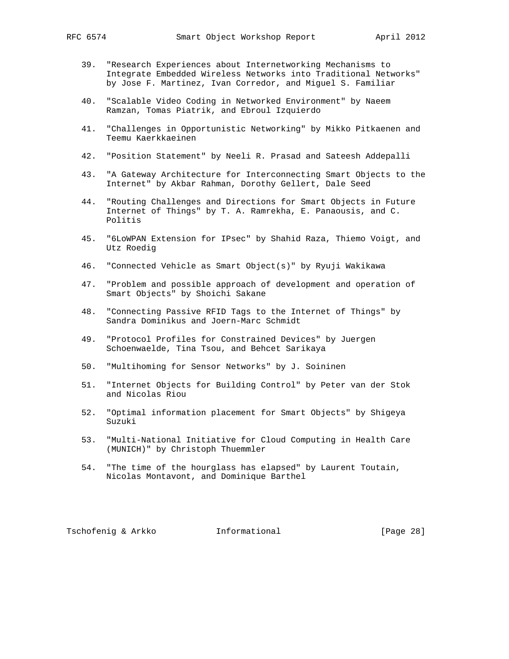- 39. "Research Experiences about Internetworking Mechanisms to Integrate Embedded Wireless Networks into Traditional Networks" by Jose F. Martinez, Ivan Corredor, and Miguel S. Familiar
- 40. "Scalable Video Coding in Networked Environment" by Naeem Ramzan, Tomas Piatrik, and Ebroul Izquierdo
- 41. "Challenges in Opportunistic Networking" by Mikko Pitkaenen and Teemu Kaerkkaeinen
- 42. "Position Statement" by Neeli R. Prasad and Sateesh Addepalli
- 43. "A Gateway Architecture for Interconnecting Smart Objects to the Internet" by Akbar Rahman, Dorothy Gellert, Dale Seed
- 44. "Routing Challenges and Directions for Smart Objects in Future Internet of Things" by T. A. Ramrekha, E. Panaousis, and C. Politis
- 45. "6LoWPAN Extension for IPsec" by Shahid Raza, Thiemo Voigt, and Utz Roedig
- 46. "Connected Vehicle as Smart Object(s)" by Ryuji Wakikawa
- 47. "Problem and possible approach of development and operation of Smart Objects" by Shoichi Sakane
- 48. "Connecting Passive RFID Tags to the Internet of Things" by Sandra Dominikus and Joern-Marc Schmidt
- 49. "Protocol Profiles for Constrained Devices" by Juergen Schoenwaelde, Tina Tsou, and Behcet Sarikaya
- 50. "Multihoming for Sensor Networks" by J. Soininen
- 51. "Internet Objects for Building Control" by Peter van der Stok and Nicolas Riou
- 52. "Optimal information placement for Smart Objects" by Shigeya Suzuki
- 53. "Multi-National Initiative for Cloud Computing in Health Care (MUNICH)" by Christoph Thuemmler
- 54. "The time of the hourglass has elapsed" by Laurent Toutain, Nicolas Montavont, and Dominique Barthel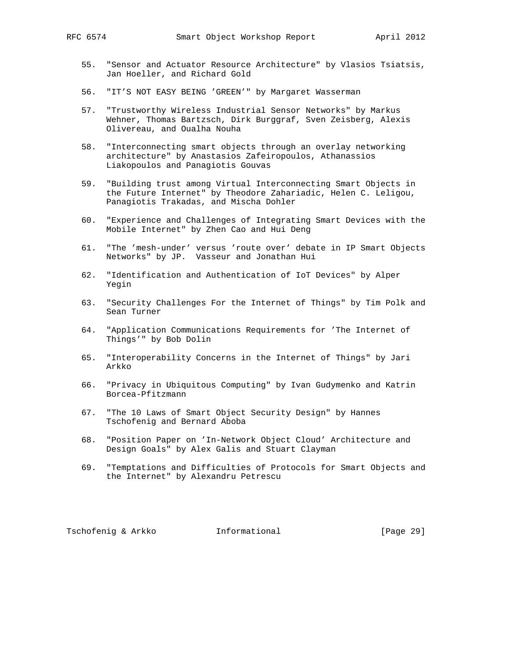- 55. "Sensor and Actuator Resource Architecture" by Vlasios Tsiatsis, Jan Hoeller, and Richard Gold
- 56. "IT'S NOT EASY BEING 'GREEN'" by Margaret Wasserman
- 57. "Trustworthy Wireless Industrial Sensor Networks" by Markus Wehner, Thomas Bartzsch, Dirk Burggraf, Sven Zeisberg, Alexis Olivereau, and Oualha Nouha
- 58. "Interconnecting smart objects through an overlay networking architecture" by Anastasios Zafeiropoulos, Athanassios Liakopoulos and Panagiotis Gouvas
- 59. "Building trust among Virtual Interconnecting Smart Objects in the Future Internet" by Theodore Zahariadic, Helen C. Leligou, Panagiotis Trakadas, and Mischa Dohler
- 60. "Experience and Challenges of Integrating Smart Devices with the Mobile Internet" by Zhen Cao and Hui Deng
- 61. "The 'mesh-under' versus 'route over' debate in IP Smart Objects Networks" by JP. Vasseur and Jonathan Hui
- 62. "Identification and Authentication of IoT Devices" by Alper Yegin
- 63. "Security Challenges For the Internet of Things" by Tim Polk and Sean Turner
- 64. "Application Communications Requirements for 'The Internet of Things'" by Bob Dolin
- 65. "Interoperability Concerns in the Internet of Things" by Jari Arkko
- 66. "Privacy in Ubiquitous Computing" by Ivan Gudymenko and Katrin Borcea-Pfitzmann
- 67. "The 10 Laws of Smart Object Security Design" by Hannes Tschofenig and Bernard Aboba
- 68. "Position Paper on 'In-Network Object Cloud' Architecture and Design Goals" by Alex Galis and Stuart Clayman
- 69. "Temptations and Difficulties of Protocols for Smart Objects and the Internet" by Alexandru Petrescu

Tschofenig & Arkko Informational [Page 29]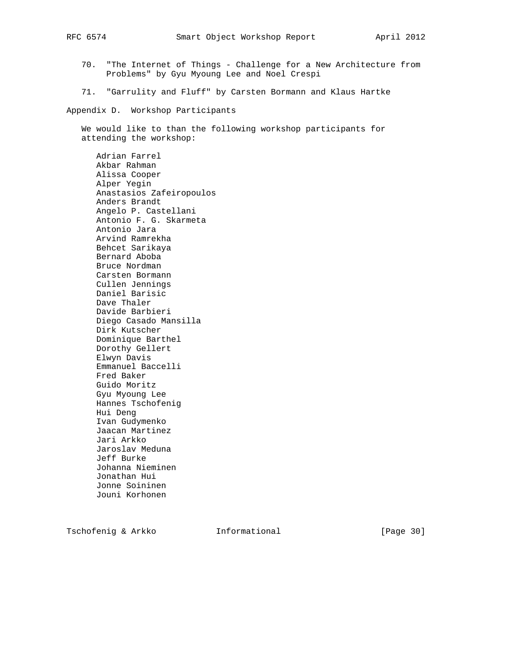- 70. "The Internet of Things Challenge for a New Architecture from Problems" by Gyu Myoung Lee and Noel Crespi
- 71. "Garrulity and Fluff" by Carsten Bormann and Klaus Hartke

Appendix D. Workshop Participants

 We would like to than the following workshop participants for attending the workshop:

 Adrian Farrel Akbar Rahman Alissa Cooper Alper Yegin Anastasios Zafeiropoulos Anders Brandt Angelo P. Castellani Antonio F. G. Skarmeta Antonio Jara Arvind Ramrekha Behcet Sarikaya Bernard Aboba Bruce Nordman Carsten Bormann Cullen Jennings Daniel Barisic Dave Thaler Davide Barbieri Diego Casado Mansilla Dirk Kutscher Dominique Barthel Dorothy Gellert Elwyn Davis Emmanuel Baccelli Fred Baker Guido Moritz Gyu Myoung Lee Hannes Tschofenig Hui Deng Ivan Gudymenko Jaacan Martinez Jari Arkko Jaroslav Meduna Jeff Burke Johanna Nieminen Jonathan Hui Jonne Soininen Jouni Korhonen

Tschofenig & Arkko **Informational** [Page 30]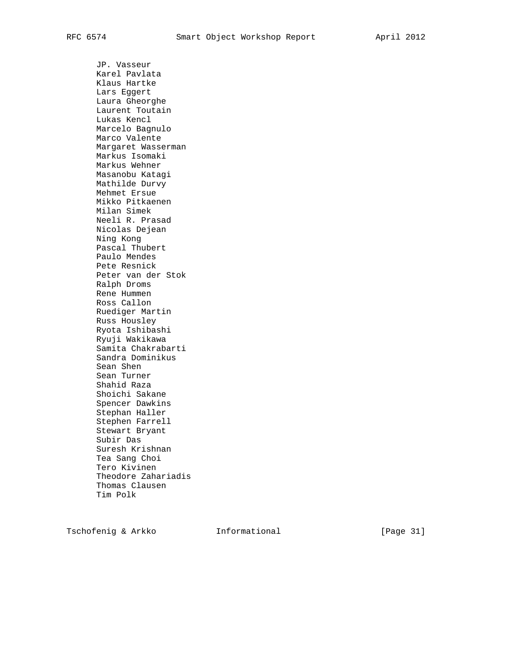JP. Vasseur Karel Pavlata Klaus Hartke Lars Eggert Laura Gheorghe Laurent Toutain Lukas Kencl Marcelo Bagnulo Marco Valente Margaret Wasserman Markus Isomaki Markus Wehner Masanobu Katagi Mathilde Durvy Mehmet Ersue Mikko Pitkaenen Milan Simek Neeli R. Prasad Nicolas Dejean Ning Kong Pascal Thubert Paulo Mendes Pete Resnick Peter van der Stok Ralph Droms Rene Hummen Ross Callon Ruediger Martin Russ Housley Ryota Ishibashi Ryuji Wakikawa Samita Chakrabarti Sandra Dominikus Sean Shen Sean Turner Shahid Raza Shoichi Sakane Spencer Dawkins Stephan Haller Stephen Farrell Stewart Bryant Subir Das Suresh Krishnan Tea Sang Choi Tero Kivinen Theodore Zahariadis Thomas Clausen Tim Polk

Tschofenig & Arkko Informational [Page 31]